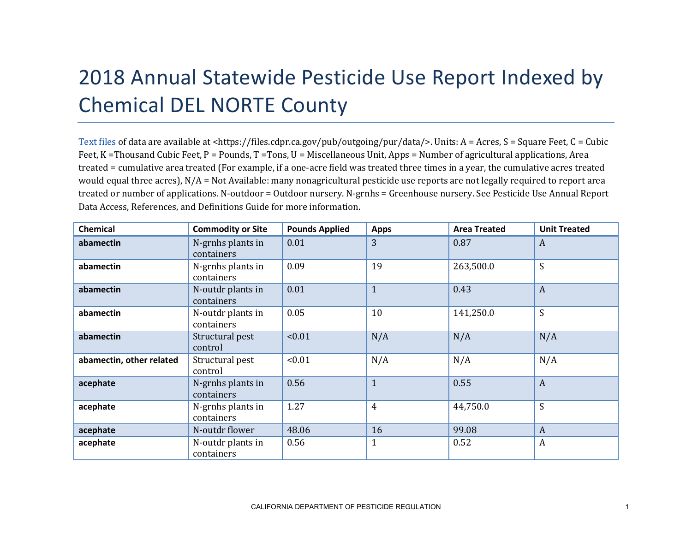## 2018 Annual Statewide Pesticide Use Report Indexed by Chemical DEL NORTE County

[Text files](https://files.cdpr.ca.gov/pub/outgoing/pur/data/) of data are available at <https://files.cdpr.ca.gov/pub/outgoing/pur/data/>. Units: A = Acres, S = Square Feet, C = Cubic Feet, K = Thousand Cubic Feet, P = Pounds, T = Tons, U = Miscellaneous Unit, Apps = Number of agricultural applications, Area treated = cumulative area treated (For example, if a one-acre field was treated three times in a year, the cumulative acres treated would equal three acres), N/A = Not Available: many nonagricultural pesticide use reports are not legally required to report area treated or number of applications. N-outdoor = Outdoor nursery. N-grnhs = Greenhouse nursery. See Pesticide Use Annual Report Data Access, References, and Definitions Guide for more information.

| <b>Chemical</b>          | <b>Commodity or Site</b>        | <b>Pounds Applied</b> | <b>Apps</b>    | <b>Area Treated</b> | <b>Unit Treated</b> |
|--------------------------|---------------------------------|-----------------------|----------------|---------------------|---------------------|
| abamectin                | N-grnhs plants in<br>containers | 0.01                  | 3              | 0.87                | $\boldsymbol{A}$    |
| abamectin                | N-grnhs plants in<br>containers | 0.09                  | 19             | 263,500.0           | S                   |
| abamectin                | N-outdr plants in<br>containers | 0.01                  | $\mathbf{1}$   | 0.43                | $\overline{A}$      |
| abamectin                | N-outdr plants in<br>containers | 0.05                  | 10             | 141,250.0           | S                   |
| abamectin                | Structural pest<br>control      | < 0.01                | N/A            | N/A                 | N/A                 |
| abamectin, other related | Structural pest<br>control      | < 0.01                | N/A            | N/A                 | N/A                 |
| acephate                 | N-grnhs plants in<br>containers | 0.56                  | $\mathbf{1}$   | 0.55                | $\boldsymbol{A}$    |
| acephate                 | N-grnhs plants in<br>containers | 1.27                  | $\overline{4}$ | 44,750.0            | S                   |
| acephate                 | N-outdr flower                  | 48.06                 | 16             | 99.08               | $\overline{A}$      |
| acephate                 | N-outdr plants in<br>containers | 0.56                  | 1              | 0.52                | $\boldsymbol{A}$    |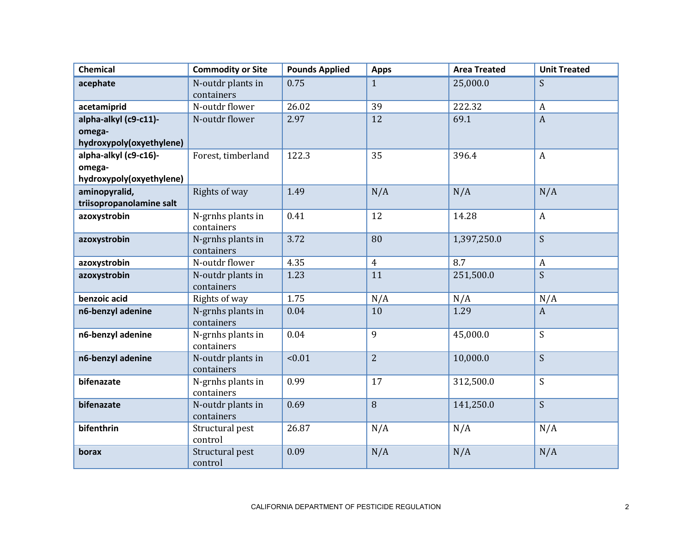| <b>Chemical</b>                                             | <b>Commodity or Site</b>        | <b>Pounds Applied</b> | <b>Apps</b>    | <b>Area Treated</b> | <b>Unit Treated</b> |
|-------------------------------------------------------------|---------------------------------|-----------------------|----------------|---------------------|---------------------|
| acephate                                                    | N-outdr plants in<br>containers | 0.75                  | $\mathbf{1}$   | 25,000.0            | S                   |
| acetamiprid                                                 | N-outdr flower                  | 26.02                 | 39             | 222.32              | $\boldsymbol{A}$    |
| alpha-alkyl (c9-c11)-<br>omega-<br>hydroxypoly(oxyethylene) | N-outdr flower                  | 2.97                  | 12             | 69.1                | $\overline{A}$      |
| alpha-alkyl (c9-c16)-<br>omega-<br>hydroxypoly(oxyethylene) | Forest, timberland              | 122.3                 | 35             | 396.4               | $\mathbf{A}$        |
| aminopyralid,<br>triisopropanolamine salt                   | Rights of way                   | 1.49                  | N/A            | N/A                 | N/A                 |
| azoxystrobin                                                | N-grnhs plants in<br>containers | 0.41                  | 12             | 14.28               | $\mathbf{A}$        |
| azoxystrobin                                                | N-grnhs plants in<br>containers | 3.72                  | 80             | 1,397,250.0         | S                   |
| azoxystrobin                                                | N-outdr flower                  | 4.35                  | $\overline{4}$ | 8.7                 | $\boldsymbol{A}$    |
| azoxystrobin                                                | N-outdr plants in<br>containers | 1.23                  | 11             | 251,500.0           | S                   |
| benzoic acid                                                | Rights of way                   | 1.75                  | N/A            | N/A                 | N/A                 |
| n6-benzyl adenine                                           | N-grnhs plants in<br>containers | 0.04                  | 10             | 1.29                | $\boldsymbol{A}$    |
| n6-benzyl adenine                                           | N-grnhs plants in<br>containers | 0.04                  | 9              | 45,000.0            | S                   |
| n6-benzyl adenine                                           | N-outdr plants in<br>containers | < 0.01                | $\overline{2}$ | 10,000.0            | S                   |
| bifenazate                                                  | N-grnhs plants in<br>containers | 0.99                  | 17             | 312,500.0           | S                   |
| bifenazate                                                  | N-outdr plants in<br>containers | 0.69                  | 8              | 141,250.0           | S                   |
| bifenthrin                                                  | Structural pest<br>control      | 26.87                 | N/A            | N/A                 | N/A                 |
| borax                                                       | Structural pest<br>control      | 0.09                  | N/A            | N/A                 | N/A                 |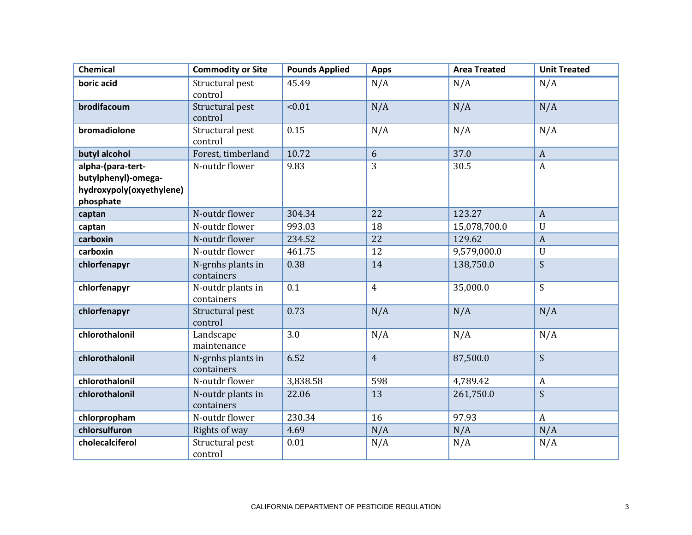| <b>Chemical</b>          | <b>Commodity or Site</b>        | <b>Pounds Applied</b> | <b>Apps</b>    | <b>Area Treated</b> | <b>Unit Treated</b> |
|--------------------------|---------------------------------|-----------------------|----------------|---------------------|---------------------|
| boric acid               | Structural pest<br>control      | 45.49                 | N/A            | N/A                 | N/A                 |
| brodifacoum              | Structural pest<br>control      | < 0.01                | N/A            | N/A                 | N/A                 |
| bromadiolone             | Structural pest<br>control      | 0.15                  | N/A            | N/A                 | N/A                 |
| butyl alcohol            | Forest, timberland              | 10.72                 | 6              | 37.0                | $\boldsymbol{A}$    |
| alpha-(para-tert-        | N-outdr flower                  | 9.83                  | $\overline{3}$ | 30.5                | $\boldsymbol{A}$    |
| butylphenyl)-omega-      |                                 |                       |                |                     |                     |
| hydroxypoly(oxyethylene) |                                 |                       |                |                     |                     |
| phosphate                |                                 |                       |                |                     |                     |
| captan                   | N-outdr flower                  | 304.34                | 22             | 123.27              | $\boldsymbol{A}$    |
| captan                   | N-outdr flower                  | 993.03                | 18             | 15,078,700.0        | $\mathbf U$         |
| carboxin                 | N-outdr flower                  | 234.52                | 22             | 129.62              | $\boldsymbol{A}$    |
| carboxin                 | N-outdr flower                  | 461.75                | 12             | 9,579,000.0         | $\mathbf U$         |
| chlorfenapyr             | N-grnhs plants in<br>containers | 0.38                  | 14             | 138,750.0           | S                   |
| chlorfenapyr             | N-outdr plants in<br>containers | 0.1                   | $\overline{4}$ | 35,000.0            | S                   |
| chlorfenapyr             | Structural pest<br>control      | 0.73                  | N/A            | N/A                 | N/A                 |
| chlorothalonil           | Landscape<br>maintenance        | 3.0                   | N/A            | N/A                 | N/A                 |
| chlorothalonil           | N-grnhs plants in<br>containers | 6.52                  | $\overline{4}$ | 87,500.0            | S                   |
| chlorothalonil           | N-outdr flower                  | 3,838.58              | 598            | 4,789.42            | $\boldsymbol{A}$    |
| chlorothalonil           | N-outdr plants in<br>containers | 22.06                 | 13             | 261,750.0           | S                   |
| chlorpropham             | N-outdr flower                  | 230.34                | 16             | 97.93               | $\mathbf{A}$        |
| chlorsulfuron            | Rights of way                   | 4.69                  | N/A            | N/A                 | N/A                 |
| cholecalciferol          | Structural pest<br>control      | 0.01                  | N/A            | N/A                 | N/A                 |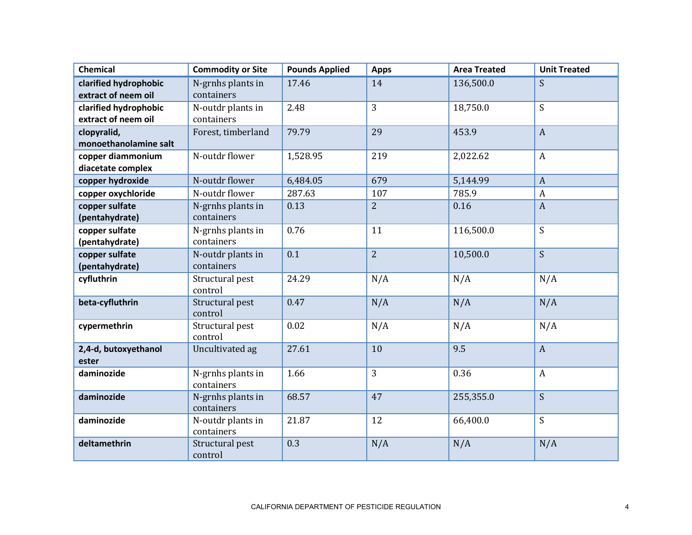| <b>Chemical</b>               | <b>Commodity or Site</b>        | <b>Pounds Applied</b> | <b>Apps</b>    | <b>Area Treated</b> | <b>Unit Treated</b> |
|-------------------------------|---------------------------------|-----------------------|----------------|---------------------|---------------------|
| clarified hydrophobic         | N-grnhs plants in               | 17.46                 | 14             | 136,500.0           | S                   |
| extract of neem oil           | containers                      |                       |                |                     |                     |
| clarified hydrophobic         | N-outdr plants in               | 2.48                  | 3              | 18,750.0            | S                   |
| extract of neem oil           | containers                      |                       |                |                     |                     |
| clopyralid,                   | Forest, timberland              | 79.79                 | 29             | 453.9               | $\boldsymbol{A}$    |
| monoethanolamine salt         |                                 |                       |                |                     |                     |
| copper diammonium             | N-outdr flower                  | 1,528.95              | 219            | 2,022.62            | $\boldsymbol{A}$    |
| diacetate complex             |                                 |                       |                |                     |                     |
| copper hydroxide              | N-outdr flower                  | 6,484.05              | 679            | 5,144.99            | $\boldsymbol{A}$    |
| copper oxychloride            | N-outdr flower                  | 287.63                | 107            | 785.9               | $\boldsymbol{A}$    |
| copper sulfate                | N-grnhs plants in               | 0.13                  | $\overline{2}$ | 0.16                | $\boldsymbol{A}$    |
| (pentahydrate)                | containers                      |                       |                |                     |                     |
| copper sulfate                | N-grnhs plants in               | 0.76                  | 11             | 116,500.0           | S                   |
| (pentahydrate)                | containers                      |                       |                |                     |                     |
| copper sulfate                | N-outdr plants in               | 0.1                   | $\overline{2}$ | 10,500.0            | S.                  |
| (pentahydrate)                | containers                      |                       |                |                     |                     |
| cyfluthrin                    | Structural pest                 | 24.29                 | N/A            | N/A                 | N/A                 |
|                               | control                         |                       |                |                     |                     |
| beta-cyfluthrin               | Structural pest                 | 0.47                  | N/A            | N/A                 | N/A                 |
|                               | control                         |                       |                |                     |                     |
| cypermethrin                  | Structural pest                 | 0.02                  | N/A            | N/A                 | N/A                 |
|                               | control                         |                       |                |                     |                     |
| 2,4-d, butoxyethanol<br>ester | Uncultivated ag                 | 27.61                 | 10             | 9.5                 | $\overline{A}$      |
| daminozide                    |                                 | 1.66                  | 3              | 0.36                | $\boldsymbol{A}$    |
|                               | N-grnhs plants in<br>containers |                       |                |                     |                     |
| daminozide                    | N-grnhs plants in               | 68.57                 | 47             | 255,355.0           | S                   |
|                               | containers                      |                       |                |                     |                     |
| daminozide                    | N-outdr plants in               | 21.87                 | 12             | 66,400.0            | S                   |
|                               | containers                      |                       |                |                     |                     |
| deltamethrin                  | Structural pest                 | 0.3                   | N/A            | N/A                 | N/A                 |
|                               | control                         |                       |                |                     |                     |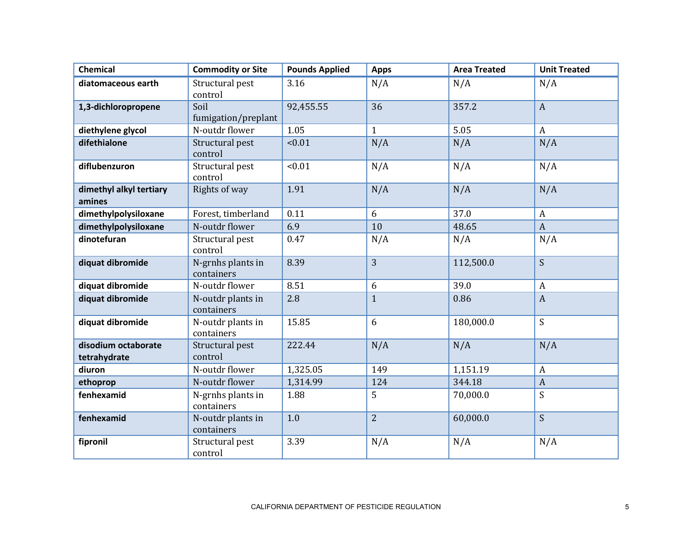| <b>Chemical</b>                     | <b>Commodity or Site</b>        | <b>Pounds Applied</b> | <b>Apps</b>    | <b>Area Treated</b> | <b>Unit Treated</b> |
|-------------------------------------|---------------------------------|-----------------------|----------------|---------------------|---------------------|
| diatomaceous earth                  | Structural pest<br>control      | 3.16                  | N/A            | N/A                 | N/A                 |
| 1,3-dichloropropene                 | Soil<br>fumigation/preplant     | 92,455.55             | 36             | 357.2               | $\mathbf{A}$        |
| diethylene glycol                   | N-outdr flower                  | 1.05                  | $\mathbf{1}$   | 5.05                | $\boldsymbol{A}$    |
| difethialone                        | Structural pest<br>control      | < 0.01                | N/A            | N/A                 | N/A                 |
| diflubenzuron                       | Structural pest<br>control      | < 0.01                | N/A            | N/A                 | N/A                 |
| dimethyl alkyl tertiary<br>amines   | Rights of way                   | 1.91                  | N/A            | N/A                 | N/A                 |
| dimethylpolysiloxane                | Forest, timberland              | 0.11                  | 6              | 37.0                | $\boldsymbol{A}$    |
| dimethylpolysiloxane                | N-outdr flower                  | 6.9                   | 10             | 48.65               | $\boldsymbol{A}$    |
| dinotefuran                         | Structural pest<br>control      | 0.47                  | N/A            | N/A                 | N/A                 |
| diquat dibromide                    | N-grnhs plants in<br>containers | 8.39                  | 3              | 112,500.0           | S                   |
| diquat dibromide                    | N-outdr flower                  | 8.51                  | 6              | 39.0                | $\boldsymbol{A}$    |
| diquat dibromide                    | N-outdr plants in<br>containers | 2.8                   | $\overline{1}$ | 0.86                | $\overline{A}$      |
| diquat dibromide                    | N-outdr plants in<br>containers | 15.85                 | 6              | 180,000.0           | S                   |
| disodium octaborate<br>tetrahydrate | Structural pest<br>control      | 222.44                | N/A            | N/A                 | N/A                 |
| diuron                              | N-outdr flower                  | 1,325.05              | 149            | 1,151.19            | $\boldsymbol{A}$    |
| ethoprop                            | N-outdr flower                  | 1,314.99              | 124            | 344.18              | $\overline{A}$      |
| fenhexamid                          | N-grnhs plants in<br>containers | 1.88                  | 5              | 70,000.0            | S                   |
| fenhexamid                          | N-outdr plants in<br>containers | 1.0                   | $\overline{2}$ | 60,000.0            | S                   |
| fipronil                            | Structural pest<br>control      | 3.39                  | N/A            | N/A                 | N/A                 |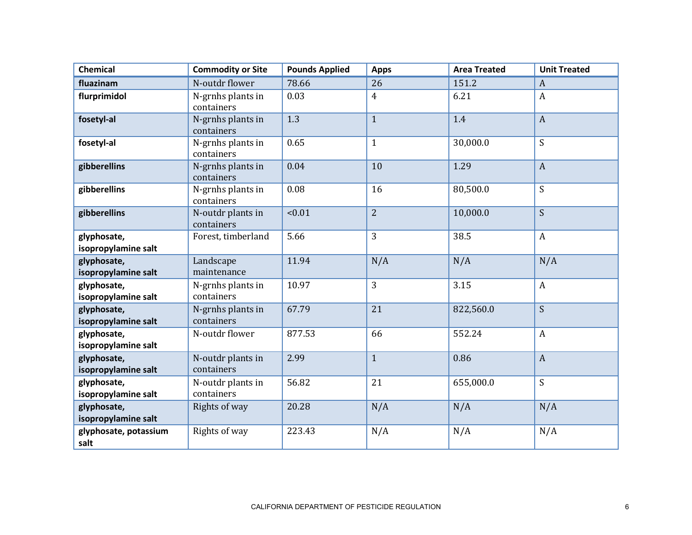| <b>Chemical</b>                    | <b>Commodity or Site</b>        | <b>Pounds Applied</b> | <b>Apps</b>    | <b>Area Treated</b> | <b>Unit Treated</b> |
|------------------------------------|---------------------------------|-----------------------|----------------|---------------------|---------------------|
| fluazinam                          | N-outdr flower                  | 78.66                 | 26             | 151.2               | $\boldsymbol{A}$    |
| flurprimidol                       | N-grnhs plants in<br>containers | 0.03                  | $\overline{4}$ | 6.21                | $\boldsymbol{A}$    |
| fosetyl-al                         | N-grnhs plants in<br>containers | 1.3                   | $\mathbf{1}$   | 1.4                 | $\boldsymbol{A}$    |
| fosetyl-al                         | N-grnhs plants in<br>containers | 0.65                  | $\mathbf{1}$   | 30,000.0            | S                   |
| gibberellins                       | N-grnhs plants in<br>containers | 0.04                  | 10             | 1.29                | $\mathbf{A}$        |
| gibberellins                       | N-grnhs plants in<br>containers | 0.08                  | 16             | 80,500.0            | S                   |
| gibberellins                       | N-outdr plants in<br>containers | < 0.01                | $\overline{2}$ | 10,000.0            | S                   |
| glyphosate,<br>isopropylamine salt | Forest, timberland              | 5.66                  | 3              | 38.5                | $\boldsymbol{A}$    |
| glyphosate,<br>isopropylamine salt | Landscape<br>maintenance        | 11.94                 | N/A            | N/A                 | N/A                 |
| glyphosate,<br>isopropylamine salt | N-grnhs plants in<br>containers | 10.97                 | 3              | 3.15                | $\mathbf{A}$        |
| glyphosate,<br>isopropylamine salt | N-grnhs plants in<br>containers | 67.79                 | 21             | 822,560.0           | S                   |
| glyphosate,<br>isopropylamine salt | N-outdr flower                  | 877.53                | 66             | 552.24              | $\boldsymbol{A}$    |
| glyphosate,<br>isopropylamine salt | N-outdr plants in<br>containers | 2.99                  | $\mathbf{1}$   | 0.86                | $\overline{A}$      |
| glyphosate,<br>isopropylamine salt | N-outdr plants in<br>containers | 56.82                 | 21             | 655,000.0           | S                   |
| glyphosate,<br>isopropylamine salt | Rights of way                   | 20.28                 | N/A            | N/A                 | N/A                 |
| glyphosate, potassium<br>salt      | Rights of way                   | 223.43                | N/A            | N/A                 | N/A                 |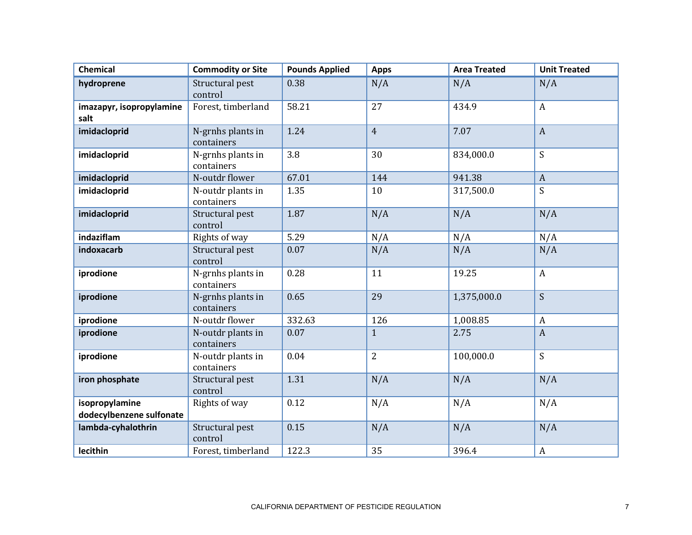| <b>Chemical</b>                            | <b>Commodity or Site</b>        | <b>Pounds Applied</b> | <b>Apps</b>    | <b>Area Treated</b> | <b>Unit Treated</b> |
|--------------------------------------------|---------------------------------|-----------------------|----------------|---------------------|---------------------|
| hydroprene                                 | Structural pest<br>control      | 0.38                  | N/A            | N/A                 | N/A                 |
| imazapyr, isopropylamine<br>salt           | Forest, timberland              | 58.21                 | 27             | 434.9               | $\boldsymbol{A}$    |
| imidacloprid                               | N-grnhs plants in<br>containers | 1.24                  | $\overline{4}$ | 7.07                | $\boldsymbol{A}$    |
| imidacloprid                               | N-grnhs plants in<br>containers | 3.8                   | 30             | 834,000.0           | S                   |
| imidacloprid                               | N-outdr flower                  | 67.01                 | 144            | 941.38              | $\boldsymbol{A}$    |
| imidacloprid                               | N-outdr plants in<br>containers | 1.35                  | 10             | 317,500.0           | S                   |
| imidacloprid                               | Structural pest<br>control      | 1.87                  | N/A            | N/A                 | N/A                 |
| indaziflam                                 | Rights of way                   | 5.29                  | N/A            | N/A                 | N/A                 |
| indoxacarb                                 | Structural pest<br>control      | 0.07                  | N/A            | N/A                 | N/A                 |
| iprodione                                  | N-grnhs plants in<br>containers | 0.28                  | 11             | 19.25               | $\boldsymbol{A}$    |
| iprodione                                  | N-grnhs plants in<br>containers | 0.65                  | 29             | 1,375,000.0         | S                   |
| iprodione                                  | N-outdr flower                  | 332.63                | 126            | 1,008.85            | $\boldsymbol{A}$    |
| iprodione                                  | N-outdr plants in<br>containers | 0.07                  | $\mathbf{1}$   | 2.75                | $\overline{A}$      |
| iprodione                                  | N-outdr plants in<br>containers | 0.04                  | $\overline{2}$ | 100,000.0           | S                   |
| iron phosphate                             | Structural pest<br>control      | 1.31                  | N/A            | N/A                 | N/A                 |
| isopropylamine<br>dodecylbenzene sulfonate | Rights of way                   | 0.12                  | N/A            | N/A                 | N/A                 |
| lambda-cyhalothrin                         | Structural pest<br>control      | 0.15                  | N/A            | N/A                 | N/A                 |
| lecithin                                   | Forest, timberland              | 122.3                 | 35             | 396.4               | $\boldsymbol{A}$    |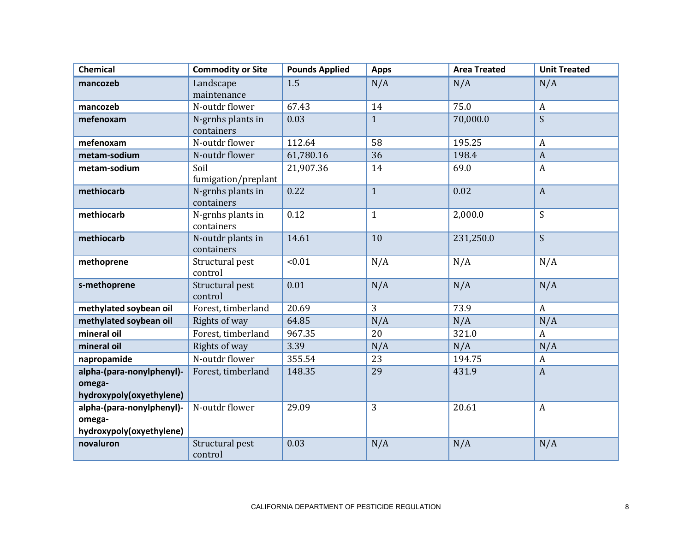| <b>Chemical</b>           | <b>Commodity or Site</b> | <b>Pounds Applied</b> | <b>Apps</b>  | <b>Area Treated</b> | <b>Unit Treated</b> |
|---------------------------|--------------------------|-----------------------|--------------|---------------------|---------------------|
| mancozeb                  | Landscape                | 1.5                   | N/A          | N/A                 | N/A                 |
|                           | maintenance              |                       |              |                     |                     |
| mancozeb                  | N-outdr flower           | 67.43                 | 14           | 75.0                | $\boldsymbol{A}$    |
| mefenoxam                 | N-grnhs plants in        | 0.03                  | $\mathbf{1}$ | 70,000.0            | S                   |
|                           | containers               |                       |              |                     |                     |
| mefenoxam                 | N-outdr flower           | 112.64                | 58           | 195.25              | $\boldsymbol{A}$    |
| metam-sodium              | N-outdr flower           | 61,780.16             | 36           | 198.4               | $\boldsymbol{A}$    |
| metam-sodium              | Soil                     | 21,907.36             | 14           | 69.0                | $\boldsymbol{A}$    |
|                           | fumigation/preplant      |                       |              |                     |                     |
| methiocarb                | N-grnhs plants in        | 0.22                  | $\mathbf{1}$ | 0.02                | $\boldsymbol{A}$    |
|                           | containers               |                       |              |                     |                     |
| methiocarb                | N-grnhs plants in        | 0.12                  | $\mathbf{1}$ | 2,000.0             | S                   |
|                           | containers               |                       |              |                     |                     |
| methiocarb                | N-outdr plants in        | 14.61                 | 10           | 231,250.0           | S                   |
|                           | containers               |                       |              |                     |                     |
| methoprene                | Structural pest          | < 0.01                | N/A          | N/A                 | N/A                 |
|                           | control                  |                       |              |                     |                     |
| s-methoprene              | Structural pest          | 0.01                  | N/A          | N/A                 | N/A                 |
|                           | control                  |                       |              |                     |                     |
| methylated soybean oil    | Forest, timberland       | 20.69                 | 3            | 73.9                | $\mathbf{A}$        |
| methylated soybean oil    | Rights of way            | 64.85                 | N/A          | N/A                 | N/A                 |
| mineral oil               | Forest, timberland       | 967.35                | 20           | 321.0               | $\overline{A}$      |
| mineral oil               | Rights of way            | 3.39                  | N/A          | N/A                 | N/A                 |
| napropamide               | N-outdr flower           | 355.54                | 23           | 194.75              | $\boldsymbol{A}$    |
| alpha-(para-nonylphenyl)- | Forest, timberland       | 148.35                | 29           | 431.9               | $\boldsymbol{A}$    |
| omega-                    |                          |                       |              |                     |                     |
| hydroxypoly(oxyethylene)  |                          |                       |              |                     |                     |
| alpha-(para-nonylphenyl)- | N-outdr flower           | 29.09                 | 3            | 20.61               | $\boldsymbol{A}$    |
| omega-                    |                          |                       |              |                     |                     |
| hydroxypoly(oxyethylene)  |                          |                       |              |                     |                     |
| novaluron                 | Structural pest          | 0.03                  | N/A          | N/A                 | N/A                 |
|                           | control                  |                       |              |                     |                     |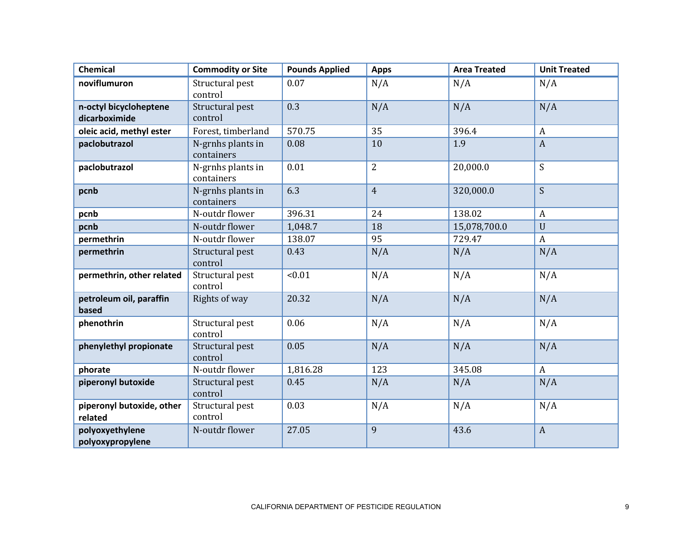| <b>Chemical</b>                         | <b>Commodity or Site</b>        | <b>Pounds Applied</b> | <b>Apps</b>    | <b>Area Treated</b> | <b>Unit Treated</b> |
|-----------------------------------------|---------------------------------|-----------------------|----------------|---------------------|---------------------|
| noviflumuron                            | Structural pest<br>control      | 0.07                  | N/A            | N/A                 | N/A                 |
| n-octyl bicycloheptene<br>dicarboximide | Structural pest<br>control      | 0.3                   | N/A            | N/A                 | N/A                 |
| oleic acid, methyl ester                | Forest, timberland              | 570.75                | 35             | 396.4               | $\boldsymbol{A}$    |
| paclobutrazol                           | N-grnhs plants in<br>containers | 0.08                  | 10             | 1.9                 | $\mathbf{A}$        |
| paclobutrazol                           | N-grnhs plants in<br>containers | 0.01                  | $\overline{2}$ | 20,000.0            | S                   |
| pcnb                                    | N-grnhs plants in<br>containers | 6.3                   | $\overline{4}$ | 320,000.0           | S                   |
| pcnb                                    | N-outdr flower                  | 396.31                | 24             | 138.02              | $\boldsymbol{A}$    |
| pcnb                                    | N-outdr flower                  | 1,048.7               | 18             | 15,078,700.0        | $\mathbf U$         |
| permethrin                              | N-outdr flower                  | 138.07                | 95             | 729.47              | $\boldsymbol{A}$    |
| permethrin                              | Structural pest<br>control      | 0.43                  | N/A            | N/A                 | N/A                 |
| permethrin, other related               | Structural pest<br>control      | < 0.01                | N/A            | N/A                 | N/A                 |
| petroleum oil, paraffin<br>based        | Rights of way                   | 20.32                 | N/A            | N/A                 | N/A                 |
| phenothrin                              | Structural pest<br>control      | 0.06                  | N/A            | N/A                 | N/A                 |
| phenylethyl propionate                  | Structural pest<br>control      | 0.05                  | N/A            | N/A                 | N/A                 |
| phorate                                 | N-outdr flower                  | 1,816.28              | 123            | 345.08              | A                   |
| piperonyl butoxide                      | Structural pest<br>control      | 0.45                  | N/A            | N/A                 | N/A                 |
| piperonyl butoxide, other<br>related    | Structural pest<br>control      | 0.03                  | N/A            | N/A                 | N/A                 |
| polyoxyethylene<br>polyoxypropylene     | N-outdr flower                  | 27.05                 | 9              | 43.6                | $\boldsymbol{A}$    |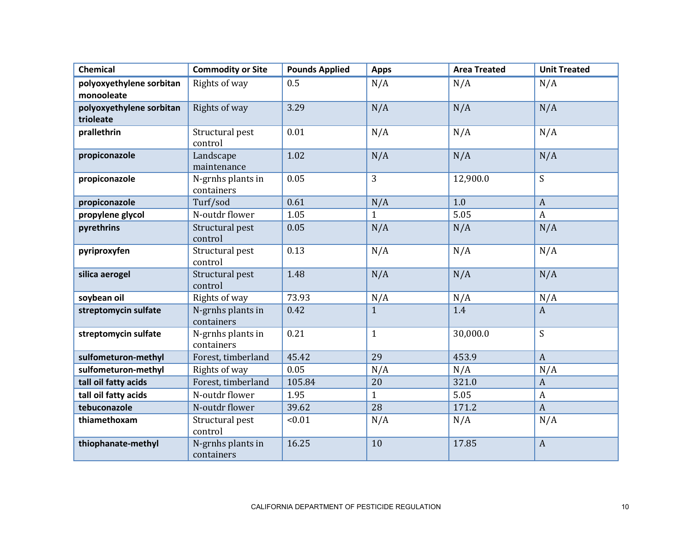| <b>Chemical</b>          | <b>Commodity or Site</b>        | <b>Pounds Applied</b> | <b>Apps</b>  | <b>Area Treated</b> | <b>Unit Treated</b> |
|--------------------------|---------------------------------|-----------------------|--------------|---------------------|---------------------|
| polyoxyethylene sorbitan | Rights of way                   | 0.5                   | N/A          | N/A                 | N/A                 |
| monooleate               |                                 |                       |              |                     |                     |
| polyoxyethylene sorbitan | Rights of way                   | 3.29                  | N/A          | N/A                 | N/A                 |
| trioleate                |                                 |                       |              |                     |                     |
| prallethrin              | Structural pest<br>control      | 0.01                  | N/A          | N/A                 | N/A                 |
| propiconazole            | Landscape<br>maintenance        | 1.02                  | N/A          | N/A                 | N/A                 |
| propiconazole            | N-grnhs plants in<br>containers | 0.05                  | 3            | 12,900.0            | S                   |
| propiconazole            | Turf/sod                        | 0.61                  | N/A          | 1.0                 | $\boldsymbol{A}$    |
| propylene glycol         | N-outdr flower                  | 1.05                  | $\mathbf{1}$ | 5.05                | $\boldsymbol{A}$    |
| pyrethrins               | Structural pest<br>control      | 0.05                  | N/A          | N/A                 | N/A                 |
| pyriproxyfen             | Structural pest<br>control      | 0.13                  | N/A          | N/A                 | N/A                 |
| silica aerogel           | Structural pest<br>control      | 1.48                  | N/A          | N/A                 | N/A                 |
| soybean oil              | Rights of way                   | 73.93                 | N/A          | N/A                 | N/A                 |
| streptomycin sulfate     | N-grnhs plants in<br>containers | 0.42                  | $\mathbf{1}$ | 1.4                 | $\boldsymbol{A}$    |
| streptomycin sulfate     | N-grnhs plants in<br>containers | 0.21                  | $\mathbf{1}$ | 30,000.0            | S                   |
| sulfometuron-methyl      | Forest, timberland              | 45.42                 | 29           | 453.9               | $\mathbf{A}$        |
| sulfometuron-methyl      | Rights of way                   | 0.05                  | N/A          | N/A                 | N/A                 |
| tall oil fatty acids     | Forest, timberland              | 105.84                | 20           | 321.0               | $\boldsymbol{A}$    |
| tall oil fatty acids     | N-outdr flower                  | 1.95                  | $\mathbf{1}$ | 5.05                | $\boldsymbol{A}$    |
| tebuconazole             | N-outdr flower                  | 39.62                 | 28           | 171.2               | $\overline{A}$      |
| thiamethoxam             | Structural pest<br>control      | < 0.01                | N/A          | N/A                 | N/A                 |
| thiophanate-methyl       | N-grnhs plants in<br>containers | 16.25                 | 10           | 17.85               | $\mathbf{A}$        |